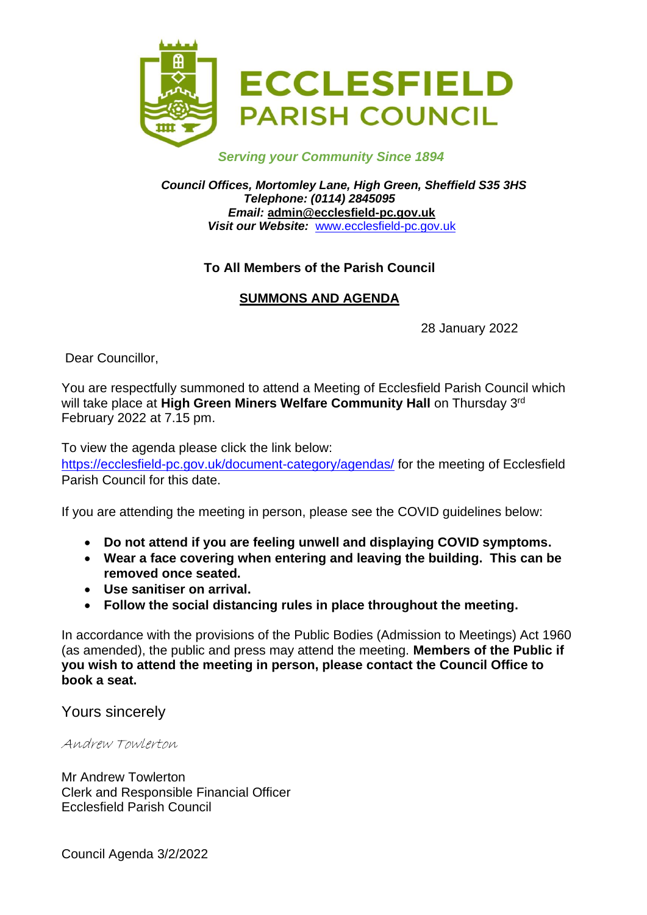

#### *Serving your Community Since 1894*

*Council Offices, Mortomley Lane, High Green, Sheffield S35 3HS Telephone: (0114) 2845095 Email:* **admin@ecclesfield-pc.gov.uk** *Visit our Website:* [www.ecclesfield-pc.gov.uk](http://www.ecclesfield-pc.gov.uk/)

#### **To All Members of the Parish Council**

#### **SUMMONS AND AGENDA**

28 January 2022

Dear Councillor,

You are respectfully summoned to attend a Meeting of Ecclesfield Parish Council which will take place at High Green Miners Welfare Community Hall on Thursday 3<sup>rd</sup> February 2022 at 7.15 pm.

To view the agenda please click the link below: <https://ecclesfield-pc.gov.uk/document-category/agendas/> for the meeting of Ecclesfield Parish Council for this date.

If you are attending the meeting in person, please see the COVID guidelines below:

- **Do not attend if you are feeling unwell and displaying COVID symptoms.**
- **Wear a face covering when entering and leaving the building. This can be removed once seated.**
- **Use sanitiser on arrival.**
- **Follow the social distancing rules in place throughout the meeting.**

In accordance with the provisions of the Public Bodies (Admission to Meetings) Act 1960 (as amended), the public and press may attend the meeting. **Members of the Public if you wish to attend the meeting in person, please contact the Council Office to book a seat.** 

Yours sincerely

Andrew Towlerton

Mr Andrew Towlerton Clerk and Responsible Financial Officer Ecclesfield Parish Council

Council Agenda 3/2/2022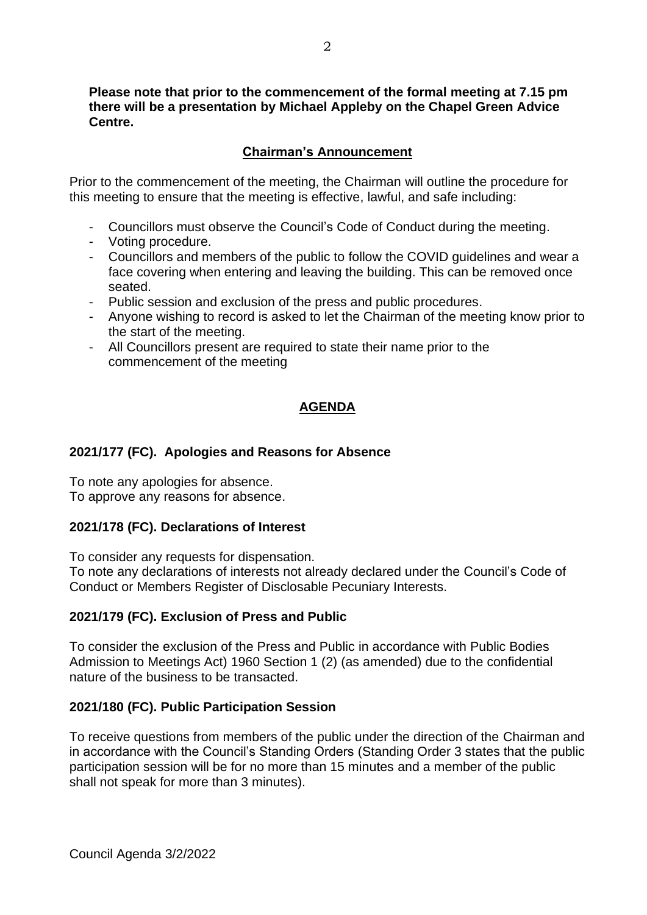**Please note that prior to the commencement of the formal meeting at 7.15 pm there will be a presentation by Michael Appleby on the Chapel Green Advice Centre.**

#### **Chairman's Announcement**

Prior to the commencement of the meeting, the Chairman will outline the procedure for this meeting to ensure that the meeting is effective, lawful, and safe including:

- Councillors must observe the Council's Code of Conduct during the meeting.
- Voting procedure.
- Councillors and members of the public to follow the COVID guidelines and wear a face covering when entering and leaving the building. This can be removed once seated.
- Public session and exclusion of the press and public procedures.
- Anyone wishing to record is asked to let the Chairman of the meeting know prior to the start of the meeting.
- All Councillors present are required to state their name prior to the commencement of the meeting

# **AGENDA**

#### **2021/177 (FC). Apologies and Reasons for Absence**

To note any apologies for absence. To approve any reasons for absence.

#### **2021/178 (FC). Declarations of Interest**

To consider any requests for dispensation.

To note any declarations of interests not already declared under the Council's Code of Conduct or Members Register of Disclosable Pecuniary Interests.

## **2021/179 (FC). Exclusion of Press and Public**

To consider the exclusion of the Press and Public in accordance with Public Bodies Admission to Meetings Act) 1960 Section 1 (2) (as amended) due to the confidential nature of the business to be transacted.

#### **2021/180 (FC). Public Participation Session**

To receive questions from members of the public under the direction of the Chairman and in accordance with the Council's Standing Orders (Standing Order 3 states that the public participation session will be for no more than 15 minutes and a member of the public shall not speak for more than 3 minutes).

Council Agenda 3/2/2022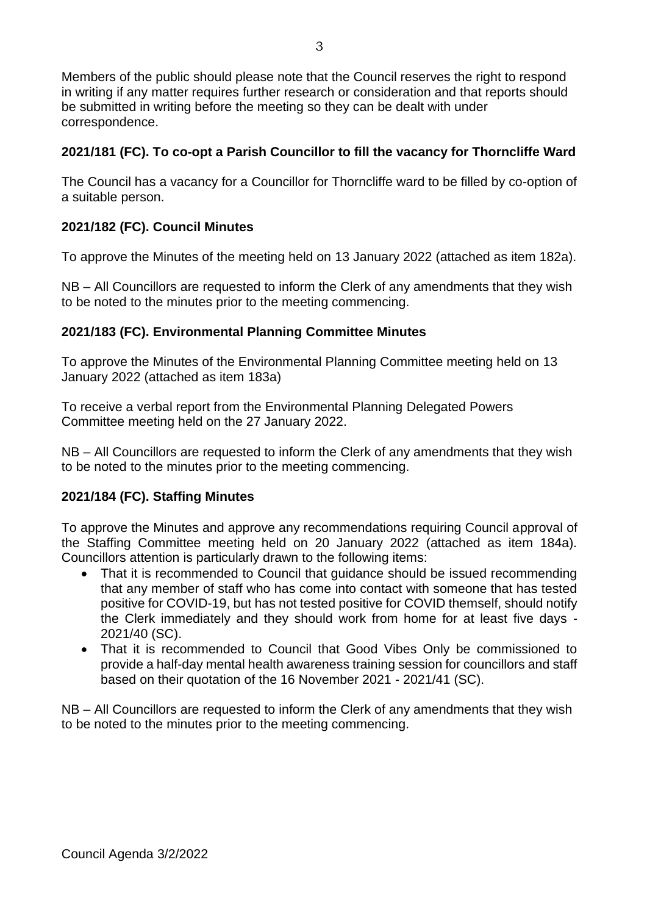Members of the public should please note that the Council reserves the right to respond in writing if any matter requires further research or consideration and that reports should be submitted in writing before the meeting so they can be dealt with under correspondence.

# **2021/181 (FC). To co-opt a Parish Councillor to fill the vacancy for Thorncliffe Ward**

The Council has a vacancy for a Councillor for Thorncliffe ward to be filled by co-option of a suitable person.

## **2021/182 (FC). Council Minutes**

To approve the Minutes of the meeting held on 13 January 2022 (attached as item 182a).

NB – All Councillors are requested to inform the Clerk of any amendments that they wish to be noted to the minutes prior to the meeting commencing.

## **2021/183 (FC). Environmental Planning Committee Minutes**

To approve the Minutes of the Environmental Planning Committee meeting held on 13 January 2022 (attached as item 183a)

To receive a verbal report from the Environmental Planning Delegated Powers Committee meeting held on the 27 January 2022.

NB – All Councillors are requested to inform the Clerk of any amendments that they wish to be noted to the minutes prior to the meeting commencing.

## **2021/184 (FC). Staffing Minutes**

To approve the Minutes and approve any recommendations requiring Council approval of the Staffing Committee meeting held on 20 January 2022 (attached as item 184a). Councillors attention is particularly drawn to the following items:

- That it is recommended to Council that quidance should be issued recommending that any member of staff who has come into contact with someone that has tested positive for COVID-19, but has not tested positive for COVID themself, should notify the Clerk immediately and they should work from home for at least five days - 2021/40 (SC).
- That it is recommended to Council that Good Vibes Only be commissioned to provide a half-day mental health awareness training session for councillors and staff based on their quotation of the 16 November 2021 - 2021/41 (SC).

NB – All Councillors are requested to inform the Clerk of any amendments that they wish to be noted to the minutes prior to the meeting commencing.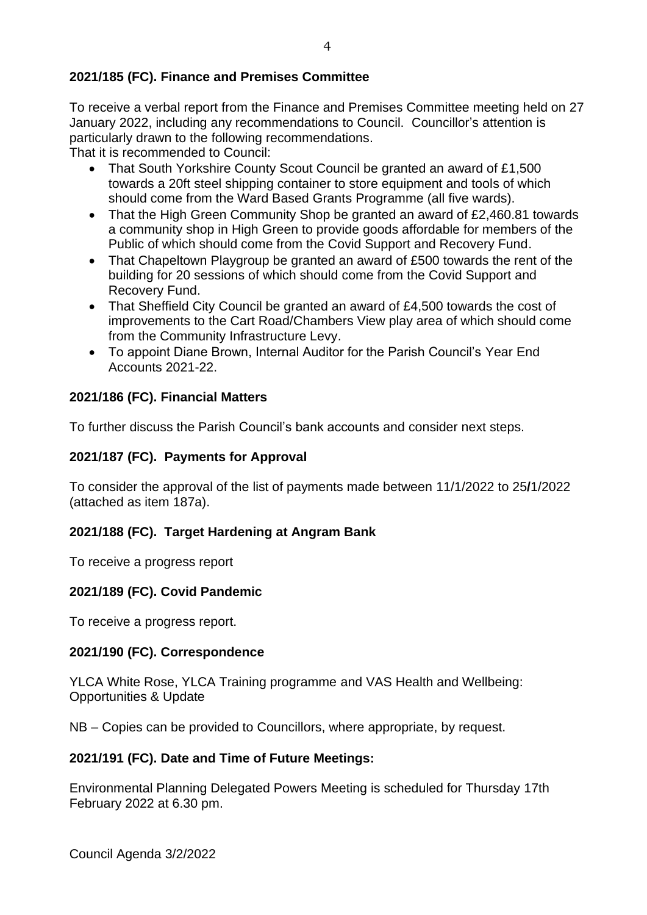## **2021/185 (FC). Finance and Premises Committee**

To receive a verbal report from the Finance and Premises Committee meeting held on 27 January 2022, including any recommendations to Council. Councillor's attention is particularly drawn to the following recommendations.

That it is recommended to Council:

- That South Yorkshire County Scout Council be granted an award of £1,500 towards a 20ft steel shipping container to store equipment and tools of which should come from the Ward Based Grants Programme (all five wards).
- That the High Green Community Shop be granted an award of £2,460.81 towards a community shop in High Green to provide goods affordable for members of the Public of which should come from the Covid Support and Recovery Fund.
- That Chapeltown Playgroup be granted an award of £500 towards the rent of the building for 20 sessions of which should come from the Covid Support and Recovery Fund.
- That Sheffield City Council be granted an award of £4,500 towards the cost of improvements to the Cart Road/Chambers View play area of which should come from the Community Infrastructure Levy.
- To appoint Diane Brown, Internal Auditor for the Parish Council's Year End Accounts 2021-22.

# **2021/186 (FC). Financial Matters**

To further discuss the Parish Council's bank accounts and consider next steps.

## **2021/187 (FC). Payments for Approval**

To consider the approval of the list of payments made between 11/1/2022 to 25**/**1/2022 (attached as item 187a).

## **2021/188 (FC). Target Hardening at Angram Bank**

To receive a progress report

## **2021/189 (FC). Covid Pandemic**

To receive a progress report.

## **2021/190 (FC). Correspondence**

YLCA White Rose, YLCA Training programme and VAS Health and Wellbeing: Opportunities & Update

NB – Copies can be provided to Councillors, where appropriate, by request.

## **2021/191 (FC). Date and Time of Future Meetings:**

Environmental Planning Delegated Powers Meeting is scheduled for Thursday 17th February 2022 at 6.30 pm.